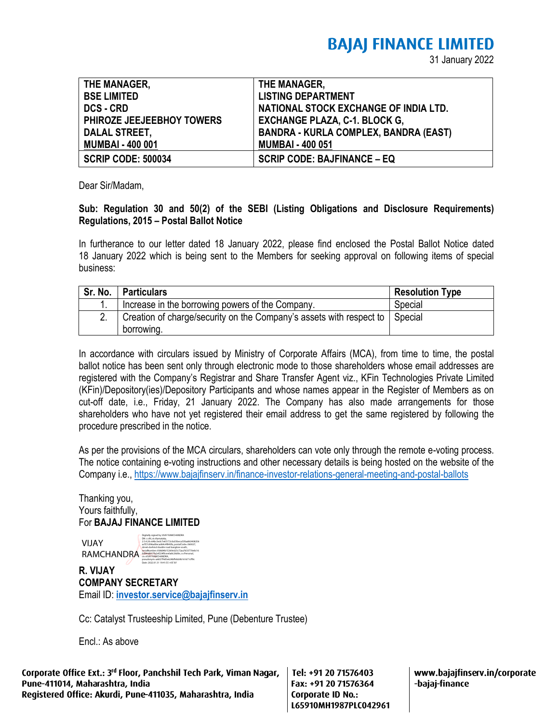# **BAJAJ FINANCE LIMITED**

31 January 2022

| THE MANAGER,              | THE MANAGER,                                 |
|---------------------------|----------------------------------------------|
| <b>BSE LIMITED</b>        | <b>LISTING DEPARTMENT</b>                    |
| <b>DCS - CRD</b>          | NATIONAL STOCK EXCHANGE OF INDIA LTD.        |
| PHIROZE JEEJEEBHOY TOWERS | <b>EXCHANGE PLAZA, C-1. BLOCK G,</b>         |
| DALAL STREET,             | <b>BANDRA - KURLA COMPLEX, BANDRA (EAST)</b> |
| <b>MUMBAI - 400 001</b>   | <b>MUMBAI - 400 051</b>                      |
| <b>SCRIP CODE: 500034</b> | <b>SCRIP CODE: BAJFINANCE - EQ</b>           |

Dear Sir/Madam.

## **Sub: Regulation 30 and 50(2) of the SEBI (Listing Obligations and Disclosure Requirements) Regulations, 2015 – Postal Ballot Notice**

In furtherance to our letter dated 18 January 2022, please find enclosed the Postal Ballot Notice dated 18 January 2022 which is being sent to the Members for seeking approval on following items of special business:

|    | Sr. No.   Particulars                                                               | <b>Resolution Type</b> |
|----|-------------------------------------------------------------------------------------|------------------------|
|    | Increase in the borrowing powers of the Company.                                    | Special                |
| 2. | Creation of charge/security on the Company's assets with respect to $\vert$ Special |                        |
|    | borrowing.                                                                          |                        |

In accordance with circulars issued by Ministry of Corporate Affairs (MCA), from time to time, the postal ballot notice has been sent only through electronic mode to those shareholders whose email addresses are registered with the Company's Registrar and Share Transfer Agent viz., KFin Technologies Private Limited (KFin)/Depository(ies)/Depository Participants and whose names appear in the Register of Members as on cut-off date, i.e., Friday, 21 January 2022. The Company has also made arrangements for those shareholders who have not yet registered their email address to get the same registered by following the procedure prescribed in the notice.

As per the provisions of the MCA circulars, shareholders can vote only through the remote e-voting process. The notice containing e-voting instructions and other necessary details is being hosted on the website of the Company i.e., <https://www.bajajfinserv.in/finance-investor-relations-general-meeting-and-postal-ballots>

Thanking you, Yours faithfully, For **BAJAJ FINANCE LIMITED**

VIJAY RAMCHANDRA

| Digitally signed by VUAY RAMCHANDRA            |
|------------------------------------------------|
| DN: c-IN, st-Karnataka.                        |
| 2.5.4.20+64br3edr7e65172r0a53bera535a863408256 |
| acf57c096ad0ecad64c4f843fa.postalCode=560027.  |
| street-behind double road banglore south.      |
| serialNumber=fc8684b15269c625c72aa7633770e8c16 |
| 0d844db57fa2ef224f0cee0a8c26d0e.o=Personal.    |
| cn=VIJAY RAMCHANDRA.                           |
| pseudonym=a6027f4dSe624bffebb9b161671cff9c     |

**R. VIJAY COMPANY SECRETARY** Email ID: **[investor.service@bajajfinserv.in](mailto:investor.service@bajajfinserv.in)** Date: 2022.01.31 19:41:55 +05'30'

Cc: Catalyst Trusteeship Limited, Pune (Debenture Trustee)

Encl.: As above

Corporate Office Ext.: 3<sup>rd</sup> Floor, Panchshil Tech Park, Viman Nagar, Pune-411014, Maharashtra, India Registered Office: Akurdi, Pune-411035, Maharashtra, India

Tel: +91 20 71576403 Fax: +91 20 71576364 Corporate ID No.: L65910MH1987PLC042961 www.bajajfinserv.in/corporate -bajaj-finance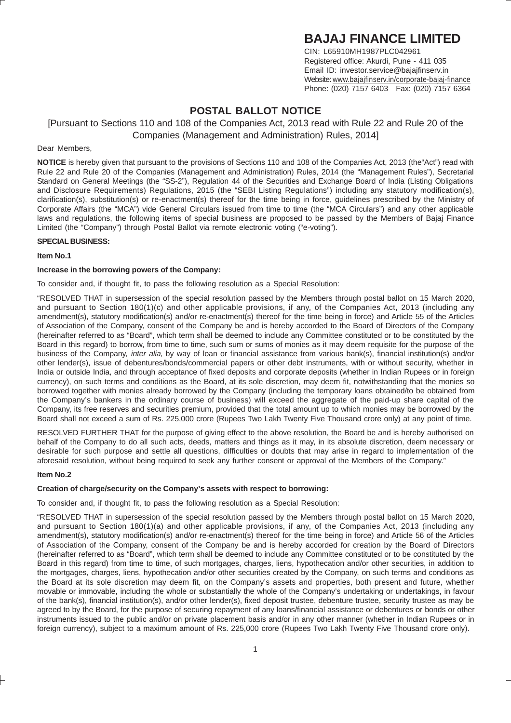# **BAJAJ FINANCE LIMITED**

CIN: L65910MH1987PLC042961 Registered office: Akurdi, Pune - 411 035 Email ID: investor.service@bajajfinserv.in Website: www.bajajfinserv.in/corporate-bajaj-finance Phone: (020) 7157 6403 Fax: (020) 7157 6364

# **POSTAL BALLOT NOTICE**

### [Pursuant to Sections 110 and 108 of the Companies Act, 2013 read with Rule 22 and Rule 20 of the Companies (Management and Administration) Rules, 2014]

#### Dear Members,

**NOTICE** is hereby given that pursuant to the provisions of Sections 110 and 108 of the Companies Act, 2013 (the"Act") read with Rule 22 and Rule 20 of the Companies (Management and Administration) Rules, 2014 (the "Management Rules"), Secretarial Standard on General Meetings (the "SS-2"), Regulation 44 of the Securities and Exchange Board of India (Listing Obligations and Disclosure Requirements) Regulations, 2015 (the "SEBI Listing Regulations") including any statutory modification(s), clarification(s), substitution(s) or re-enactment(s) thereof for the time being in force, guidelines prescribed by the Ministry of Corporate Affairs (the "MCA") vide General Circulars issued from time to time (the "MCA Circulars") and any other applicable laws and regulations, the following items of special business are proposed to be passed by the Members of Bajaj Finance Limited (the "Company") through Postal Ballot via remote electronic voting ("e-voting").

#### **SPECIAL BUSINESS:**

#### **Item No.1**

#### **Increase in the borrowing powers of the Company:**

To consider and, if thought fit, to pass the following resolution as a Special Resolution:

"RESOLVED THAT in supersession of the special resolution passed by the Members through postal ballot on 15 March 2020, and pursuant to Section 180(1)(c) and other applicable provisions, if any, of the Companies Act, 2013 (including any amendment(s), statutory modification(s) and/or re-enactment(s) thereof for the time being in force) and Article 55 of the Articles of Association of the Company, consent of the Company be and is hereby accorded to the Board of Directors of the Company (hereinafter referred to as "Board", which term shall be deemed to include any Committee constituted or to be constituted by the Board in this regard) to borrow, from time to time, such sum or sums of monies as it may deem requisite for the purpose of the business of the Company, inter alia, by way of loan or financial assistance from various bank(s), financial institution(s) and/or other lender(s), issue of debentures/bonds/commercial papers or other debt instruments, with or without security, whether in India or outside India, and through acceptance of fixed deposits and corporate deposits (whether in Indian Rupees or in foreign currency), on such terms and conditions as the Board, at its sole discretion, may deem fit, notwithstanding that the monies so borrowed together with monies already borrowed by the Company (including the temporary loans obtained/to be obtained from the Company's bankers in the ordinary course of business) will exceed the aggregate of the paid-up share capital of the Company, its free reserves and securities premium, provided that the total amount up to which monies may be borrowed by the Board shall not exceed a sum of Rs. 225,000 crore (Rupees Two Lakh Twenty Five Thousand crore only) at any point of time.

RESOLVED FURTHER THAT for the purpose of giving effect to the above resolution, the Board be and is hereby authorised on behalf of the Company to do all such acts, deeds, matters and things as it may, in its absolute discretion, deem necessary or desirable for such purpose and settle all questions, difficulties or doubts that may arise in regard to implementation of the aforesaid resolution, without being required to seek any further consent or approval of the Members of the Company."

#### **Item No.2**

#### **Creation of charge/security on the Company's assets with respect to borrowing:**

To consider and, if thought fit, to pass the following resolution as a Special Resolution:

"RESOLVED THAT in supersession of the special resolution passed by the Members through postal ballot on 15 March 2020, and pursuant to Section 180(1)(a) and other applicable provisions, if any, of the Companies Act, 2013 (including any amendment(s), statutory modification(s) and/or re-enactment(s) thereof for the time being in force) and Article 56 of the Articles of Association of the Company, consent of the Company be and is hereby accorded for creation by the Board of Directors (hereinafter referred to as "Board", which term shall be deemed to include any Committee constituted or to be constituted by the Board in this regard) from time to time, of such mortgages, charges, liens, hypothecation and/or other securities, in addition to the mortgages, charges, liens, hypothecation and/or other securities created by the Company, on such terms and conditions as the Board at its sole discretion may deem fit, on the Company's assets and properties, both present and future, whether movable or immovable, including the whole or substantially the whole of the Company's undertaking or undertakings, in favour of the bank(s), financial institution(s), and/or other lender(s), fixed deposit trustee, debenture trustee, security trustee as may be agreed to by the Board, for the purpose of securing repayment of any loans/financial assistance or debentures or bonds or other instruments issued to the public and/or on private placement basis and/or in any other manner (whether in Indian Rupees or in foreign currency), subject to a maximum amount of Rs. 225,000 crore (Rupees Two Lakh Twenty Five Thousand crore only).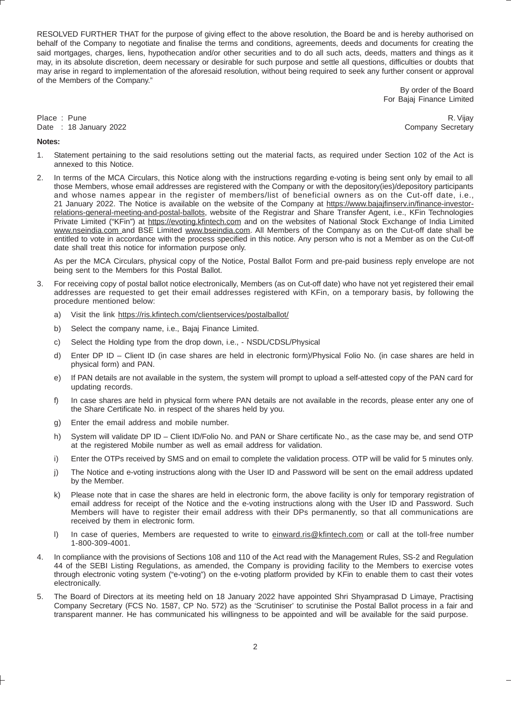RESOLVED FURTHER THAT for the purpose of giving effect to the above resolution, the Board be and is hereby authorised on behalf of the Company to negotiate and finalise the terms and conditions, agreements, deeds and documents for creating the said mortgages, charges, liens, hypothecation and/or other securities and to do all such acts, deeds, matters and things as it may, in its absolute discretion, deem necessary or desirable for such purpose and settle all questions, difficulties or doubts that may arise in regard to implementation of the aforesaid resolution, without being required to seek any further consent or approval of the Members of the Company."

> By order of the Board For Bajaj Finance Limited

**Notes:**

Place : Pune R. Vijay R. Vijay R. Vijay R. Vijay R. Vijay R. Vijay R. Vijay R. Vijay R. Vijay R. Vijay R. Vijay Date : 18 January 2022 **Company Secretary** 

- 1. Statement pertaining to the said resolutions setting out the material facts, as required under Section 102 of the Act is annexed to this Notice.
- 2. In terms of the MCA Circulars, this Notice along with the instructions regarding e-voting is being sent only by email to all those Members, whose email addresses are registered with the Company or with the depository(ies)/depository participants and whose names appear in the register of members/list of beneficial owners as on the Cut-off date, i.e., 21 January 2022. The Notice is available on the website of the Company at https://www.bajajfinserv.in/finance-investorrelations-general-meeting-and-postal-ballots, website of the Registrar and Share Transfer Agent, i.e., KFin Technologies Private Limited ("KFin") at https://evoting.kfintech.com and on the websites of National Stock Exchange of India Limited www.nseindia.com and BSE Limited www.bseindia.com. All Members of the Company as on the Cut-off date shall be entitled to vote in accordance with the process specified in this notice. Any person who is not a Member as on the Cut-off date shall treat this notice for information purpose only.

As per the MCA Circulars, physical copy of the Notice, Postal Ballot Form and pre-paid business reply envelope are not being sent to the Members for this Postal Ballot.

- 3. For receiving copy of postal ballot notice electronically, Members (as on Cut-off date) who have not yet registered their email addresses are requested to get their email addresses registered with KFin, on a temporary basis, by following the procedure mentioned below:
	- a) Visit the link https://ris.kfintech.com/clientservices/postalballot/
	- b) Select the company name, i.e., Bajaj Finance Limited.
	- c) Select the Holding type from the drop down, i.e., NSDL/CDSL/Physical
	- d) Enter DP ID Client ID (in case shares are held in electronic form)/Physical Folio No. (in case shares are held in physical form) and PAN.
	- e) If PAN details are not available in the system, the system will prompt to upload a self-attested copy of the PAN card for updating records.
	- f) In case shares are held in physical form where PAN details are not available in the records, please enter any one of the Share Certificate No. in respect of the shares held by you.
	- g) Enter the email address and mobile number.
	- h) System will validate DP ID Client ID/Folio No. and PAN or Share certificate No., as the case may be, and send OTP at the registered Mobile number as well as email address for validation.
	- i) Enter the OTPs received by SMS and on email to complete the validation process. OTP will be valid for 5 minutes only.
	- j) The Notice and e-voting instructions along with the User ID and Password will be sent on the email address updated by the Member.
	- k) Please note that in case the shares are held in electronic form, the above facility is only for temporary registration of email address for receipt of the Notice and the e-voting instructions along with the User ID and Password. Such Members will have to register their email address with their DPs permanently, so that all communications are received by them in electronic form.
	- l) In case of queries, Members are requested to write to einward.ris@kfintech.com or call at the toll-free number 1-800-309-4001.
- 4. In compliance with the provisions of Sections 108 and 110 of the Act read with the Management Rules, SS-2 and Regulation 44 of the SEBI Listing Regulations, as amended, the Company is providing facility to the Members to exercise votes through electronic voting system ("e-voting") on the e-voting platform provided by KFin to enable them to cast their votes electronically.
- 5. The Board of Directors at its meeting held on 18 January 2022 have appointed Shri Shyamprasad D Limaye, Practising Company Secretary (FCS No. 1587, CP No. 572) as the 'Scrutiniser' to scrutinise the Postal Ballot process in a fair and transparent manner. He has communicated his willingness to be appointed and will be available for the said purpose.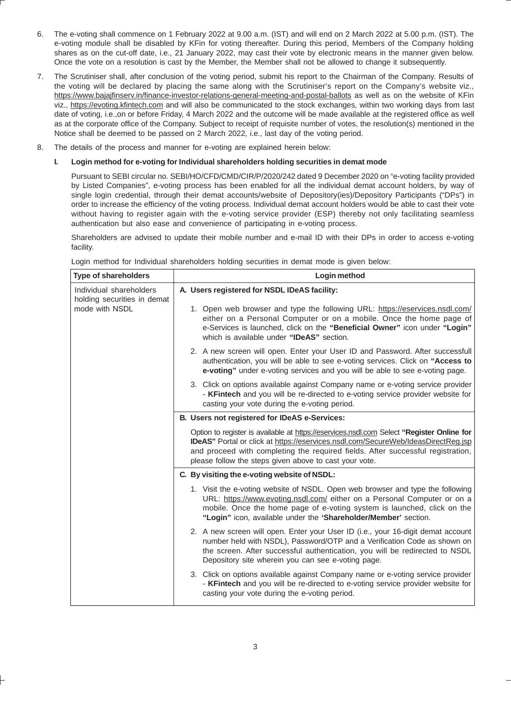- 6. The e-voting shall commence on 1 February 2022 at 9.00 a.m. (IST) and will end on 2 March 2022 at 5.00 p.m. (IST). The e-voting module shall be disabled by KFin for voting thereafter. During this period, Members of the Company holding shares as on the cut-off date, i.e., 21 January 2022, may cast their vote by electronic means in the manner given below. Once the vote on a resolution is cast by the Member, the Member shall not be allowed to change it subsequently.
- 7. The Scrutiniser shall, after conclusion of the voting period, submit his report to the Chairman of the Company. Results of the voting will be declared by placing the same along with the Scrutiniser's report on the Company's website viz., https://www.bajajfinserv.in/finance-investor-relations-general-meeting-and-postal-ballots as well as on the website of KFin viz., https://evoting.kfintech.com and will also be communicated to the stock exchanges, within two working days from last date of voting, i.e.,on or before Friday, 4 March 2022 and the outcome will be made available at the registered office as well as at the corporate office of the Company. Subject to receipt of requisite number of votes, the resolution(s) mentioned in the Notice shall be deemed to be passed on 2 March 2022, i.e., last day of the voting period.
- 8. The details of the process and manner for e-voting are explained herein below:

#### **I. Login method for e-voting for Individual shareholders holding securities in demat mode**

Pursuant to SEBI circular no. SEBI/HO/CFD/CMD/CIR/P/2020/242 dated 9 December 2020 on "e-voting facility provided by Listed Companies", e-voting process has been enabled for all the individual demat account holders, by way of single login credential, through their demat accounts/website of Depository(ies)/Depository Participants ("DPs") in order to increase the efficiency of the voting process. Individual demat account holders would be able to cast their vote without having to register again with the e-voting service provider (ESP) thereby not only facilitating seamless authentication but also ease and convenience of participating in e-voting process.

Shareholders are advised to update their mobile number and e-mail ID with their DPs in order to access e-voting facility.

| <b>Type of shareholders</b>                                              | Login method                                                                                                                                                                                                                                                                                                                        |  |  |
|--------------------------------------------------------------------------|-------------------------------------------------------------------------------------------------------------------------------------------------------------------------------------------------------------------------------------------------------------------------------------------------------------------------------------|--|--|
| Individual shareholders<br>holding securities in demat<br>mode with NSDL | A. Users registered for NSDL IDeAS facility:                                                                                                                                                                                                                                                                                        |  |  |
|                                                                          | 1. Open web browser and type the following URL: https://eservices.nsdl.com/<br>either on a Personal Computer or on a mobile. Once the home page of<br>e-Services is launched, click on the "Beneficial Owner" icon under "Login"<br>which is available under "IDeAS" section.                                                       |  |  |
|                                                                          | 2. A new screen will open. Enter your User ID and Password. After successfull<br>authentication, you will be able to see e-voting services. Click on "Access to<br>e-voting" under e-voting services and you will be able to see e-voting page.                                                                                     |  |  |
|                                                                          | 3. Click on options available against Company name or e-voting service provider<br>- KFintech and you will be re-directed to e-voting service provider website for<br>casting your vote during the e-voting period.                                                                                                                 |  |  |
|                                                                          | B. Users not registered for IDeAS e-Services:                                                                                                                                                                                                                                                                                       |  |  |
|                                                                          | Option to register is available at https://eservices.nsdl.com Select "Register Online for<br><b>IDeAS</b> " Portal or click at https://eservices.nsdl.com/SecureWeb/IdeasDirectReg.jsp<br>and proceed with completing the required fields. After successful registration,<br>please follow the steps given above to cast your vote. |  |  |
|                                                                          | C. By visiting the e-voting website of NSDL:                                                                                                                                                                                                                                                                                        |  |  |
|                                                                          | 1. Visit the e-voting website of NSDL. Open web browser and type the following<br>URL: https://www.evoting.nsdl.com/ either on a Personal Computer or on a<br>mobile. Once the home page of e-voting system is launched, click on the<br>"Login" icon, available under the 'Shareholder/Member' section.                            |  |  |
|                                                                          | 2. A new screen will open. Enter your User ID (i.e., your 16-digit demat account<br>number held with NSDL), Password/OTP and a Verification Code as shown on<br>the screen. After successful authentication, you will be redirected to NSDL<br>Depository site wherein you can see e-voting page.                                   |  |  |
|                                                                          | 3. Click on options available against Company name or e-voting service provider<br>- KFintech and you will be re-directed to e-voting service provider website for<br>casting your vote during the e-voting period.                                                                                                                 |  |  |

Login method for Individual shareholders holding securities in demat mode is given below: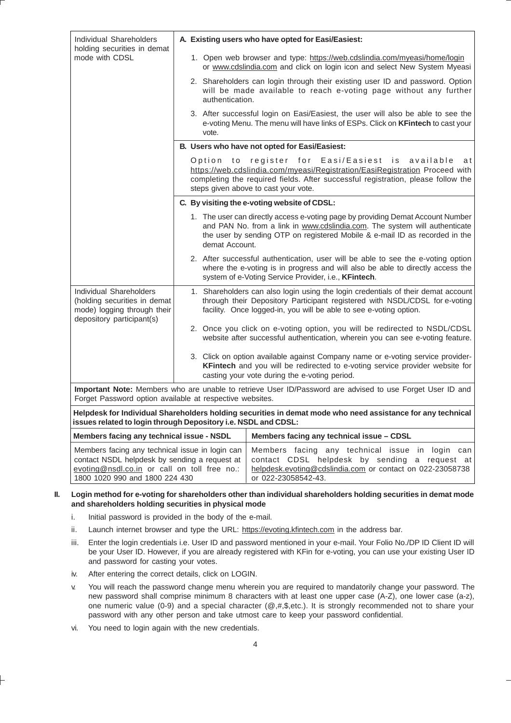| <b>Individual Shareholders</b><br>holding securities in demat                                                                                                                      |                                                                                                                                                                                                                  | A. Existing users who have opted for Easi/Easiest:                                                                                                                                                                                                          |                                                                                                                                                                                                                                              |  |  |
|------------------------------------------------------------------------------------------------------------------------------------------------------------------------------------|------------------------------------------------------------------------------------------------------------------------------------------------------------------------------------------------------------------|-------------------------------------------------------------------------------------------------------------------------------------------------------------------------------------------------------------------------------------------------------------|----------------------------------------------------------------------------------------------------------------------------------------------------------------------------------------------------------------------------------------------|--|--|
| mode with CDSL                                                                                                                                                                     |                                                                                                                                                                                                                  |                                                                                                                                                                                                                                                             | 1. Open web browser and type: https://web.cdslindia.com/myeasi/home/login<br>or www.cdslindia.com and click on login icon and select New System Myeasi                                                                                       |  |  |
|                                                                                                                                                                                    |                                                                                                                                                                                                                  | authentication.                                                                                                                                                                                                                                             | 2. Shareholders can login through their existing user ID and password. Option<br>will be made available to reach e-voting page without any further                                                                                           |  |  |
|                                                                                                                                                                                    |                                                                                                                                                                                                                  | vote.                                                                                                                                                                                                                                                       | 3. After successful login on Easi/Easiest, the user will also be able to see the<br>e-voting Menu. The menu will have links of ESPs. Click on KFintech to cast your                                                                          |  |  |
|                                                                                                                                                                                    |                                                                                                                                                                                                                  |                                                                                                                                                                                                                                                             | B. Users who have not opted for Easi/Easiest:                                                                                                                                                                                                |  |  |
|                                                                                                                                                                                    |                                                                                                                                                                                                                  | Option to register for Easi/Easiest is available<br>https://web.cdslindia.com/myeasi/Registration/EasiRegistration Proceed with<br>completing the required fields. After successful registration, please follow the<br>steps given above to cast your vote. |                                                                                                                                                                                                                                              |  |  |
|                                                                                                                                                                                    |                                                                                                                                                                                                                  |                                                                                                                                                                                                                                                             | C. By visiting the e-voting website of CDSL:                                                                                                                                                                                                 |  |  |
|                                                                                                                                                                                    |                                                                                                                                                                                                                  | demat Account.                                                                                                                                                                                                                                              | 1. The user can directly access e-voting page by providing Demat Account Number<br>and PAN No. from a link in www.cdslindia.com. The system will authenticate<br>the user by sending OTP on registered Mobile & e-mail ID as recorded in the |  |  |
|                                                                                                                                                                                    |                                                                                                                                                                                                                  | 2. After successful authentication, user will be able to see the e-voting option<br>where the e-voting is in progress and will also be able to directly access the<br>system of e-Voting Service Provider, i.e., KFintech.                                  |                                                                                                                                                                                                                                              |  |  |
| Individual Shareholders<br>(holding securities in demat<br>mode) logging through their<br>depository participant(s)                                                                |                                                                                                                                                                                                                  | 1. Shareholders can also login using the login credentials of their demat account<br>through their Depository Participant registered with NSDL/CDSL for e-voting<br>facility. Once logged-in, you will be able to see e-voting option.                      |                                                                                                                                                                                                                                              |  |  |
|                                                                                                                                                                                    |                                                                                                                                                                                                                  |                                                                                                                                                                                                                                                             | 2. Once you click on e-voting option, you will be redirected to NSDL/CDSL<br>website after successful authentication, wherein you can see e-voting feature.                                                                                  |  |  |
|                                                                                                                                                                                    | 3. Click on option available against Company name or e-voting service provider-<br>KFintech and you will be redirected to e-voting service provider website for<br>casting your vote during the e-voting period. |                                                                                                                                                                                                                                                             |                                                                                                                                                                                                                                              |  |  |
| Important Note: Members who are unable to retrieve User ID/Password are advised to use Forget User ID and<br>Forget Password option available at respective websites.              |                                                                                                                                                                                                                  |                                                                                                                                                                                                                                                             |                                                                                                                                                                                                                                              |  |  |
| Helpdesk for Individual Shareholders holding securities in demat mode who need assistance for any technical<br>issues related to login through Depository i.e. NSDL and CDSL:      |                                                                                                                                                                                                                  |                                                                                                                                                                                                                                                             |                                                                                                                                                                                                                                              |  |  |
| Members facing any technical issue - NSDL                                                                                                                                          |                                                                                                                                                                                                                  |                                                                                                                                                                                                                                                             | Members facing any technical issue - CDSL                                                                                                                                                                                                    |  |  |
| Members facing any technical issue in login can<br>contact NSDL helpdesk by sending a request at<br>evoting@nsdl.co.in or call on toll free no.:<br>1800 1020 990 and 1800 224 430 |                                                                                                                                                                                                                  |                                                                                                                                                                                                                                                             | Members facing any technical issue in login can<br>contact CDSL helpdesk by sending a request at<br>helpdesk.evoting@cdslindia.com or contact on 022-23058738<br>or 022-23058542-43.                                                         |  |  |

#### **II. Login method for e-voting for shareholders other than individual shareholders holding securities in demat mode and shareholders holding securities in physical mode**

- i. Initial password is provided in the body of the e-mail.
- ii. Launch internet browser and type the URL: https://evoting.kfintech.com in the address bar.
- iii. Enter the login credentials i.e. User ID and password mentioned in your e-mail. Your Folio No./DP ID Client ID will be your User ID. However, if you are already registered with KFin for e-voting, you can use your existing User ID and password for casting your votes.
- iv. After entering the correct details, click on LOGIN.
- v. You will reach the password change menu wherein you are required to mandatorily change your password. The new password shall comprise minimum 8 characters with at least one upper case (A-Z), one lower case (a-z), one numeric value (0-9) and a special character (@,#,\$,etc.). It is strongly recommended not to share your password with any other person and take utmost care to keep your password confidential.
- vi. You need to login again with the new credentials.